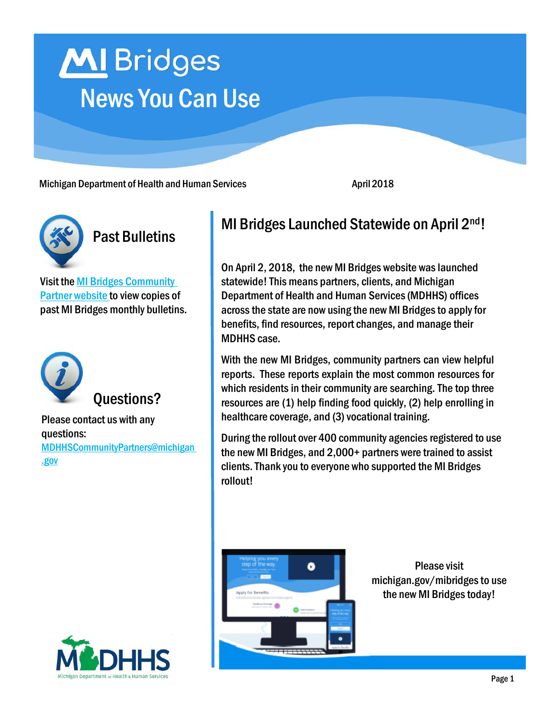# MI Bridges News You Can Use

Michigan Department of Health and Human Services **April 2018** April 2018



#### Past Bulletins

Visit the MI Bridges [Community](https://www.michigan.gov/mdhhs/0,5885,7-339-71551_82637---,00.html) Partner [website](https://www.michigan.gov/mdhhs/0,5885,7-339-71551_82637---,00.html) to view copies of past MI Bridges monthly bulletins.



#### Questions?

Please contact us with any questions: [MDHHSCommunityPartners@michigan](mailto:mdhhscommunitypartners@michigan.gov) [.gov](mailto:mdhhscommunitypartners@michigan.gov)

### MI Bridges Launched Statewide on April 2<sup>nd</sup>!

On April 2, 2018, the new MI Bridges website waslaunched statewide!This means partners, clients, and Michigan Department of Health and Human Services(MDHHS) offices across the state are now using the new MI Bridges to apply for benefits, find resources, report changes, and manage their MDHHS case.

With the new MI Bridges, community partners can view helpful reports. These reports explain the most common resources for which residents in their community are searching. The top three resources are (1) help finding food quickly, (2) help enrolling in healthcare coverage, and (3) vocational training.

During the rollout over 400 community agencies registered to use the new MI Bridges, and 2,000+ partners were trained to assist clients.Thank you to everyone who supported the MI Bridges rollout!



Please visit michigan.gov/mibridgesto use the new MI Bridges today!

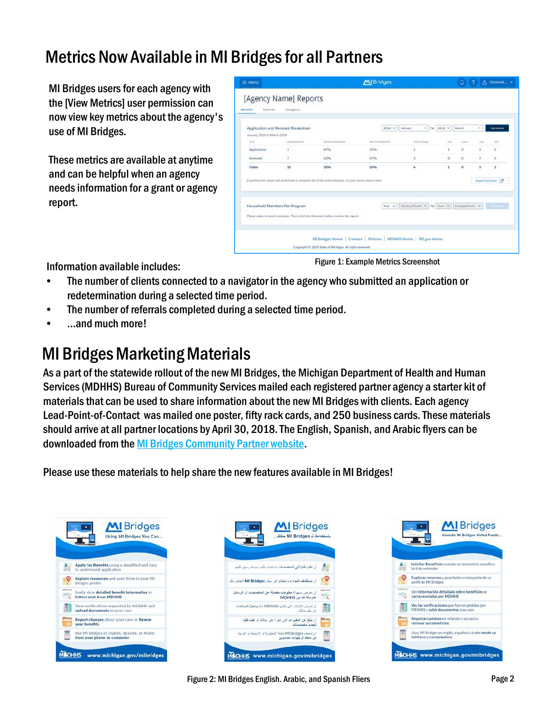# Metrics Now Available in MI Bridges for all Partners

MI Bridges users for each agency with the [View Metrics] user permission can now view key metrics about the agency's use of MI Bridges.

These metrics are available at anytime and can be helpful when an agency needsinformation for a grant or agency report.

| ≡ Menu                     |                                   |                                                                                                        | <b>MI</b> Bridges                                               |                                         |                           | $Q$ $\rightarrow$ $P$ |     | A Outlook v         |
|----------------------------|-----------------------------------|--------------------------------------------------------------------------------------------------------|-----------------------------------------------------------------|-----------------------------------------|---------------------------|-----------------------|-----|---------------------|
|                            | [Agency Name] Reports             |                                                                                                        |                                                                 |                                         |                           |                       |     |                     |
| Referrals.<br>Benefits     | Navigators                        |                                                                                                        |                                                                 |                                         |                           |                       |     |                     |
|                            |                                   |                                                                                                        |                                                                 |                                         |                           |                       |     |                     |
|                            | Application and Renewal Breakdown |                                                                                                        | $2018$ $\vee$                                                   | January                                 | $\times$ To 2018 $\times$ | March                 | v   | Generate            |
| January 2018 to March 2018 |                                   |                                                                                                        |                                                                 |                                         |                           |                       |     |                     |
| TYPE                       | <b>BURNITELIONS</b>               | <b><i>EDICAL PROGRAM</i></b>                                                                           | MULTI PROGRAM                                                   | <b>HEALTHCARS</b>                       | 3.8.11                    | EANH                  | CDC | tex                 |
| Applications               |                                   | 67%                                                                                                    | 33%                                                             |                                         | t                         | ö                     | ö   | ż                   |
| <b>Renawals</b>            | y.                                | 43%                                                                                                    | 57%                                                             | ä                                       | o                         | $\circ$               | ö   | $\Box$              |
| Totals                     | 10                                | 50%                                                                                                    | 50%<br>a sa s                                                   | s,                                      | 1                         | $\circ$               | ö   | $\mathbf{z}$        |
|                            |                                   | Exporting this report will download a complete list of the entire dataset, not just values shown here. |                                                                 |                                         |                           |                       |     | Export to Excel [2] |
|                            |                                   |                                                                                                        |                                                                 |                                         |                           |                       |     |                     |
|                            |                                   |                                                                                                        |                                                                 |                                         |                           |                       |     |                     |
|                            | Household Members Per Program     |                                                                                                        | Year v                                                          | Starting Month V To Year V Ending Month |                           |                       |     | Little work in      |
|                            |                                   |                                                                                                        |                                                                 |                                         |                           |                       |     |                     |
|                            |                                   | Please select a month and year. Then, click the Generate button to view the report.                    |                                                                 |                                         |                           |                       |     |                     |
|                            |                                   |                                                                                                        |                                                                 |                                         |                           |                       |     |                     |
|                            |                                   |                                                                                                        | MI Bridges Home   Contact   Policies   MDHHS Home   MI gov Home |                                         |                           |                       |     |                     |
|                            |                                   |                                                                                                        |                                                                 |                                         |                           |                       |     |                     |

Information available includes: Figure 1: Example Metrics Screenshot

- The number of clients connected to a navigator in the agency who submitted an application or redetermination during a selected time period.
- The number of referrals completed during a selected time period.
- …and much more!

# **MI Bridges Marketing Materials**

As a part of the statewide rollout of the new MI Bridges, the Michigan Department of Health and Human Services (MDHHS) Bureau of Community Services mailed each registered partner agency a starter kit of materials that can be used to share information about the new MI Bridges with clients. Each agency Lead-Point-of-Contact was mailed one poster, fifty rack cards, and 250 business cards. These materials should arrive at all partner locations by April 30, 2018.The English, Spanish, and Arabic flyers can be downloaded from the MI Bridges [Community](https://www.michigan.gov/mdhhs/0,5885,7-339-71551_82637---,00.html) Partner website.

Please use these materials to help share the new features available in MI Bridges!







Figure 2: MI Bridges English. Arabic, and Spanish Fliers **Page 2** Page 2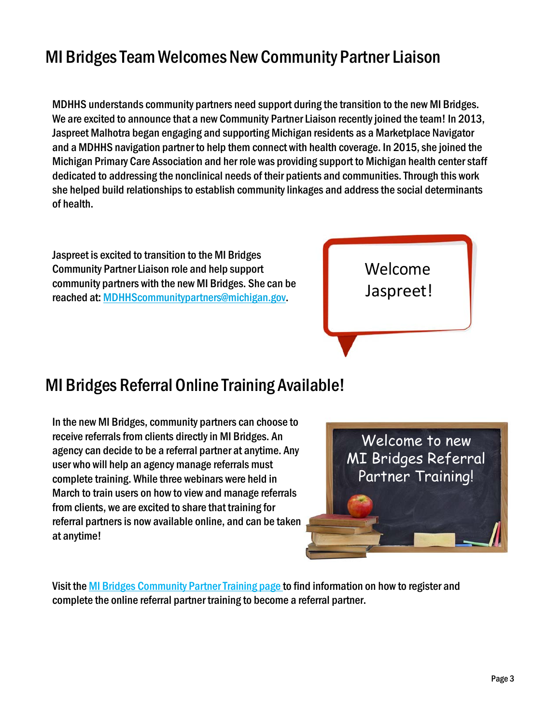# MI BridgesTeamWelcomes New Community Partner Liaison

MDHHS understands community partners need support during the transition to the new MI Bridges. We are excited to announce that a new Community Partner Liaison recently joined the team! In 2013, Jaspreet Malhotra began engaging and supporting Michigan residents as a Marketplace Navigator and a MDHHS navigation partner to help them connect with health coverage. In 2015, she joined the Michigan Primary Care Association and her role was providing support to Michigan health centerstaff dedicated to addressing the nonclinical needs of their patients and communities.Through this work she helped build relationships to establish community linkages and address the social determinants of health.

Jaspreet is excited to transition to the MI Bridges Community Partner Liaison role and help support community partners with the new MI Bridges. She can be reached at: MDHHScommunitypa[rtners@michigan.gov.](mailto:tners@michigan.gov)



#### MI Bridges Referral Online Training Available!

In the new MI Bridges, community partners can choose to receive referrals from clients directly in MI Bridges. An agency can decide to be a referral partner at anytime. Any user who will help an agency manage referrals must complete training. While three webinars were held in March to train users on how to view and manage referrals from clients, we are excited to share that training for referral partners is now available online, and can be taken at anytime!



Visit the MI Bridges Community Partner Training page to find information on how to register and complete the online referral partner training to become a referral partner.